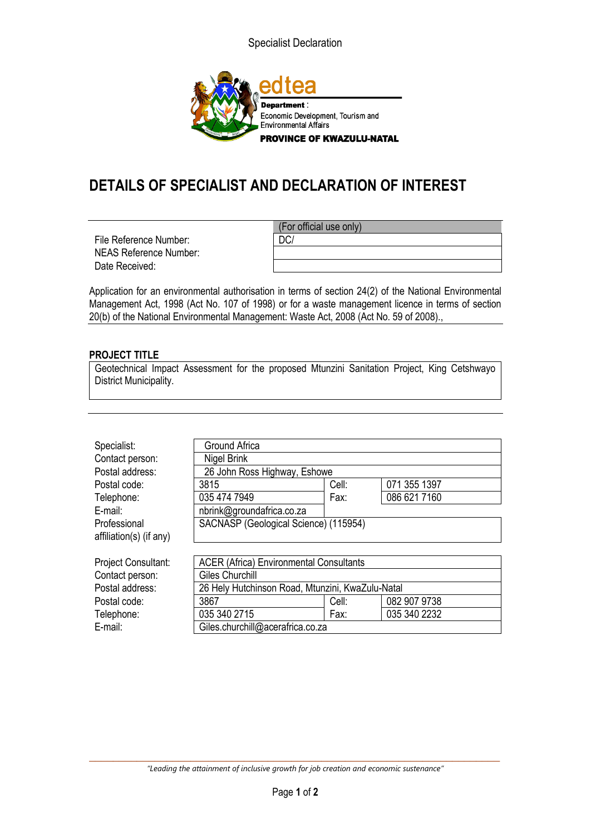Specialist Declaration



## **DETAILS OF SPECIALIST AND DECLARATION OF INTEREST**

File Reference Number:  $\vert$  DC/ NEAS Reference Number: Date Received:

(For official use only)

Application for an environmental authorisation in terms of section 24(2) of the National Environmental Management Act, 1998 (Act No. 107 of 1998) or for a waste management licence in terms of section 20(b) of the National Environmental Management: Waste Act, 2008 (Act No. 59 of 2008).,

## **PROJECT TITLE**

Geotechnical Impact Assessment for the proposed Mtunzini Sanitation Project, King Cetshwayo District Municipality.

| Specialist:                | Ground Africa                                    |       |              |
|----------------------------|--------------------------------------------------|-------|--------------|
| Contact person:            | Nigel Brink                                      |       |              |
| Postal address:            | 26 John Ross Highway, Eshowe                     |       |              |
| Postal code:               | 3815                                             | Cell: | 071 355 1397 |
| Telephone:                 | 035 474 7949                                     | Fax:  | 086 621 7160 |
| E-mail:                    | nbrink@groundafrica.co.za                        |       |              |
| Professional               | SACNASP (Geological Science) (115954)            |       |              |
| affiliation(s) (if any)    |                                                  |       |              |
|                            |                                                  |       |              |
| <b>Project Consultant:</b> | <b>ACER (Africa) Environmental Consultants</b>   |       |              |
| Contact person:            | Giles Churchill                                  |       |              |
| Postal address:            | 26 Hely Hutchinson Road, Mtunzini, KwaZulu-Natal |       |              |
| Postal code:               | 3867                                             | Cell: | 082 907 9738 |
| Telephone:                 | 035 340 2715                                     | Fax:  | 035 340 2232 |
| E-mail:                    | Giles.churchill@acerafrica.co.za                 |       |              |